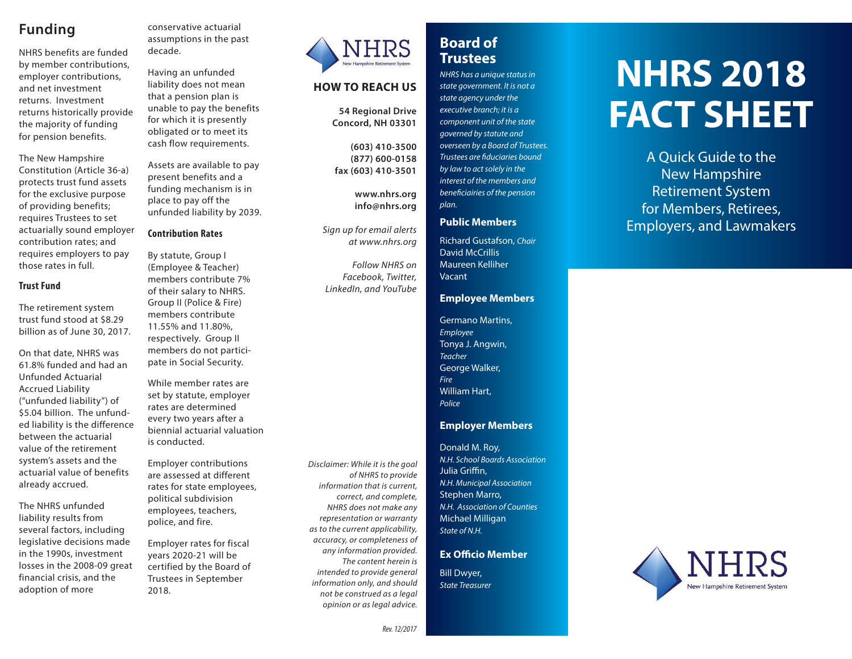## **Funding**

NHRS benefits are funded by member contributions, employer contributions, and net investment returns. Investment returns historically provide the majority of funding for pension benefits.

The New Hampshire Constitution (Article 36-a) protects trust fund assets for the exclusive purpose of providing benefits; requires Trustees to set actuarially sound employer contribution rates; and requires employers to pay those rates in full.

### **Trust Fund**

The retirement system trust fund stood at \$8.29 billion as of June 30, 2017.

On that date, NHRS was 61.8% funded and had an Unfunded Actuarial Accrued Liability ("unfunded liability") of \$5.04 billion. The unfunded liability is the difference between the actuarial value of the retirement system's assets and the actuarial value of benefits already accrued.

The NHRS unfunded liability results from several factors, including legislative decisions made in the 1990s, investment losses in the 2008-09 great financial crisis, and the adoption of more

conservative actuarial assumptions in the past decade.

Having an unfunded liability does not mean that a pension plan is unable to pay the benefits for which it is presently obligated or to meet its cash flow requirements.

Assets are available to pay present benefits and a funding mechanism is in place to pay off the unfunded liability by 2039.

### **Contribution Rates**

By statute, Group I (Employee & Teacher) members contribute 7% of their salary to NHRS. Group II (Police & Fire) members contribute 11.55% and 11.80%, respectively. Group II members do not participate in Social Security.

While member rates are set by statute, employer rates are determined every two years after a biennial actuarial valuation is conducted.

Employer contributions are assessed at different rates for state employees, political subdivision employees, teachers, police, and fire.

Employer rates for fiscal years 2020-21 will be certified by the Board of Trustees in September 2018.



### **HOW TO REACH US**

**54 Regional Drive Concord, NH 03301**

**(603) 410-3500 (877) 600-0158 fax (603) 410-3501**

> **www.nhrs.org info@nhrs.org**

Sign up for email alerts at www.nhrs.org

Follow NHRS on Facebook, Twitter, LinkedIn, and YouTube

#### of NHRS to provide information that is current, correct, and complete, NHRS does not make any representation or warranty as to the current applicability, accuracy, or completeness of any information provided. The content herein is intended to provide general information only, and should not be construed as a legal

opinion or as legal advice.

Disclaimer: While it is the goal

## **Board ofTrustees**

NHRS has a unique status in state government. It is not a state agency under the executive branch; it is a component unit of the state governed by statute and overseen by a Board of Trustees. Trustees are fiduciaries bound by law to act solely in the interest of the members and beneficiairies of the pension plan.

### **Public Members**

Richard Gustafson, Chair David McCrillisMaureen Kelliher Vacant

### **Employee Members**

Germano Martins, Employee Tonya J. Angwin, **Teacher** George Walker, FireWilliam Hart, Police

### **Employer Members**

Donald M. Roy, N.H. School Boards AssociationJulia Griffin, N.H. Municipal Association Stephen Marro, N.H. Association of CountiesMichael Milligan State of N.H.

### **Ex Officio Member**

Bill Dwyer, State Treasurer

## **NHRS 2018FACT SHEET**

A Quick Guide to the New Hampshire Retirement System for Members, Retirees, Employers, and Lawmakers